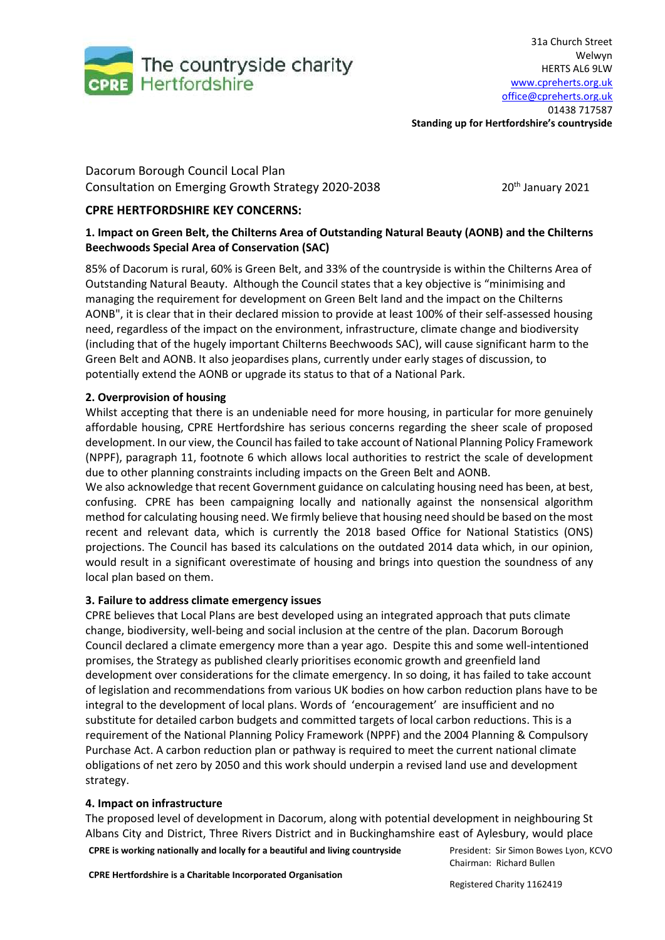

**Standing up for Hertfordshire's countryside**

Dacorum Borough Council Local Plan Consultation on Emerging Growth Strategy 2020-2038 20th January 2021

# **CPRE HERTFORDSHIRE KEY CONCERNS:**

## **1. Impact on Green Belt, the Chilterns Area of Outstanding Natural Beauty (AONB) and the Chilterns Beechwoods Special Area of Conservation (SAC)**

85% of Dacorum is rural, 60% is Green Belt, and 33% of the countryside is within the Chilterns Area of Outstanding Natural Beauty. Although the Council states that a key objective is "minimising and managing the requirement for development on Green Belt land and the impact on the Chilterns AONB", it is clear that in their declared mission to provide at least 100% of their self-assessed housing need, regardless of the impact on the environment, infrastructure, climate change and biodiversity (including that of the hugely important Chilterns Beechwoods SAC), will cause significant harm to the Green Belt and AONB. It also jeopardises plans, currently under early stages of discussion, to potentially extend the AONB or upgrade its status to that of a National Park.

## **2. Overprovision of housing**

Whilst accepting that there is an undeniable need for more housing, in particular for more genuinely affordable housing, CPRE Hertfordshire has serious concerns regarding the sheer scale of proposed development. In our view, the Council has failed to take account of National Planning Policy Framework (NPPF), paragraph 11, footnote 6 which allows local authorities to restrict the scale of development due to other planning constraints including impacts on the Green Belt and AONB.

We also acknowledge that recent Government guidance on calculating housing need has been, at best, confusing. CPRE has been campaigning locally and nationally against the nonsensical algorithm method for calculating housing need. We firmly believe that housing need should be based on the most recent and relevant data, which is currently the 2018 based Office for National Statistics (ONS) projections. The Council has based its calculations on the outdated 2014 data which, in our opinion, would result in a significant overestimate of housing and brings into question the soundness of any local plan based on them.

## **3. Failure to address climate emergency issues**

CPRE believes that Local Plans are best developed using an integrated approach that puts climate change, biodiversity, well-being and social inclusion at the centre of the plan. Dacorum Borough Council declared a climate emergency more than a year ago. Despite this and some well-intentioned promises, the Strategy as published clearly prioritises economic growth and greenfield land development over considerations for the climate emergency. In so doing, it has failed to take account of legislation and recommendations from various UK bodies on how carbon reduction plans have to be integral to the development of local plans. Words of 'encouragement' are insufficient and no substitute for detailed carbon budgets and committed targets of local carbon reductions. This is a requirement of the National Planning Policy Framework (NPPF) and the 2004 Planning & Compulsory Purchase Act. A carbon reduction plan or pathway is required to meet the current national climate obligations of net zero by 2050 and this work should underpin a revised land use and development strategy.

## **4. Impact on infrastructure**

The proposed level of development in Dacorum, along with potential development in neighbouring St Albans City and District, Three Rivers District and in Buckinghamshire east of Aylesbury, would place

**CPRE is working nationally and locally for a beautiful and living countryside**

**CPRE Hertfordshire is a Charitable Incorporated Organisation**

President: Sir Simon Bowes Lyon, KCVO Chairman: Richard Bullen